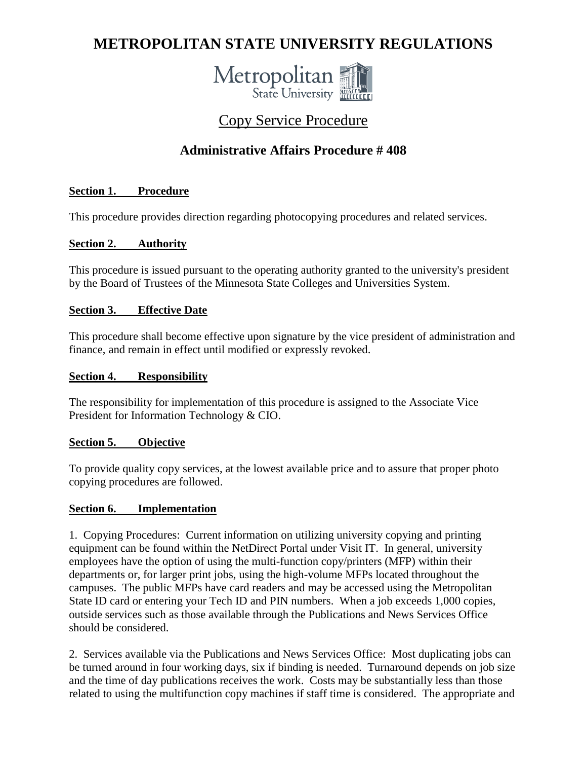# **METROPOLITAN STATE UNIVERSITY REGULATIONS**



# Copy Service Procedure

# **Administrative Affairs Procedure # 408**

# **Section 1. Procedure**

This procedure provides direction regarding photocopying procedures and related services.

# **Section 2. Authority**

This procedure is issued pursuant to the operating authority granted to the university's president by the Board of Trustees of the Minnesota State Colleges and Universities System.

## **Section 3. Effective Date**

This procedure shall become effective upon signature by the vice president of administration and finance, and remain in effect until modified or expressly revoked.

#### **Section 4. Responsibility**

The responsibility for implementation of this procedure is assigned to the Associate Vice President for Information Technology & CIO.

## **Section 5. Objective**

To provide quality copy services, at the lowest available price and to assure that proper photo copying procedures are followed.

## **Section 6. Implementation**

1. Copying Procedures: Current information on utilizing university copying and printing equipment can be found within the NetDirect Portal under Visit IT. In general, university employees have the option of using the multi-function copy/printers (MFP) within their departments or, for larger print jobs, using the high-volume MFPs located throughout the campuses. The public MFPs have card readers and may be accessed using the Metropolitan State ID card or entering your Tech ID and PIN numbers. When a job exceeds 1,000 copies, outside services such as those available through the Publications and News Services Office should be considered.

2. Services available via the Publications and News Services Office: Most duplicating jobs can be turned around in four working days, six if binding is needed. Turnaround depends on job size and the time of day publications receives the work. Costs may be substantially less than those related to using the multifunction copy machines if staff time is considered. The appropriate and